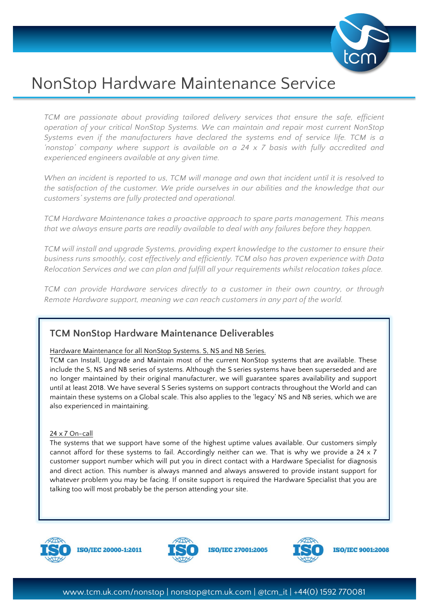

# NonStop Hardware Maintenance Service

*TCM are passionate about providing tailored delivery services that ensure the safe, efficient operation of your critical NonStop Systems. We can maintain and repair most current NonStop Systems even if the manufacturers have declared the systems end of service life. TCM is a 'nonstop' company where support is available on a 24 x 7 basis with fully accredited and experienced engineers available at any given time.*

*When an incident is reported to us, TCM will manage and own that incident until it is resolved to the satisfaction of the customer. We pride ourselves in our abilities and the knowledge that our customers' systems are fully protected and operational.*

*TCM Hardware Maintenance takes a proactive approach to spare parts management. This means that we always ensure parts are readily available to deal with any failures before they happen.*

*TCM will install and upgrade Systems, providing expert knowledge to the customer to ensure their business runs smoothly, cost effectively and efficiently. TCM also has proven experience with Data Relocation Services and we can plan and fulfill all your requirements whilst relocation takes place.*

*TCM can provide Hardware services directly to a customer in their own country, or through Remote Hardware support, meaning we can reach customers in any part of the world.* 

# **TCM NonStop Hardware Maintenance Deliverables**

## Hardware Maintenance for all NonStop Systems. S, NS and NB Series.

TCM can Install, Upgrade and Maintain most of the current NonStop systems that are available. These include the S, NS and NB series of systems. Although the S series systems have been superseded and are no longer maintained by their original manufacturer, we will guarantee spares availability and support until at least 2018. We have several S Series systems on support contracts throughout the World and can maintain these systems on a Global scale. This also applies to the 'legacy' NS and NB series, which we are also experienced in maintaining.

## 24 x 7 On-call

The systems that we support have some of the highest uptime values available. Our customers simply cannot afford for these systems to fail. Accordingly neither can we. That is why we provide a 24 x 7 customer support number which will put you in direct contact with a Hardware Specialist for diagnosis and direct action. This number is always manned and always answered to provide instant support for whatever problem you may be facing. If onsite support is required the Hardware Specialist that you are talking too will most probably be the person attending your site.



**ISO/IEC 20000-1:2011** 



**ISO/IEC 27001:2005** 



**ISO/IEC 9001:2008**